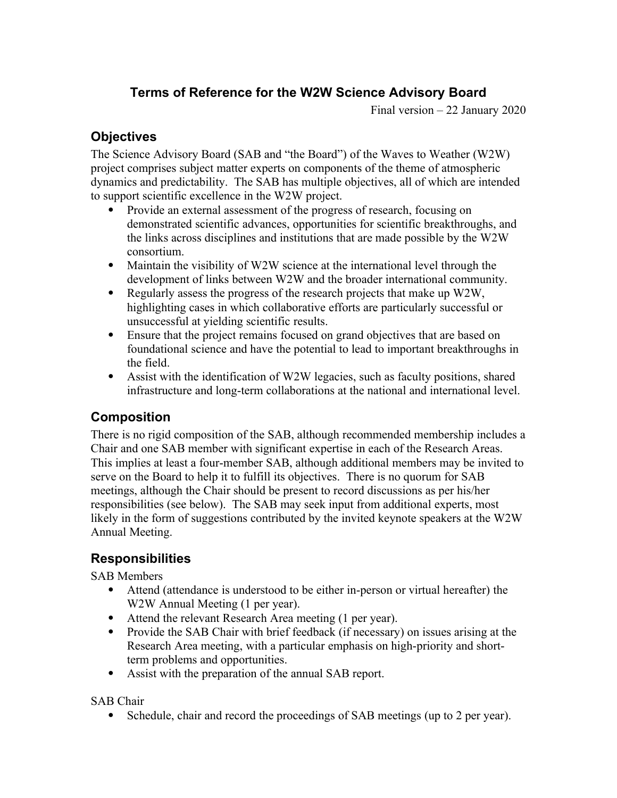# **Terms of Reference for the W2W Science Advisory Board**

Final version – 22 January 2020

### **Objectives**

The Science Advisory Board (SAB and "the Board") of the Waves to Weather (W2W) project comprises subject matter experts on components of the theme of atmospheric dynamics and predictability. The SAB has multiple objectives, all of which are intended to support scientific excellence in the W2W project.

- Provide an external assessment of the progress of research, focusing on demonstrated scientific advances, opportunities for scientific breakthroughs, and the links across disciplines and institutions that are made possible by the W2W consortium.
- Maintain the visibility of W2W science at the international level through the development of links between W2W and the broader international community.
- Regularly assess the progress of the research projects that make up W2W, highlighting cases in which collaborative efforts are particularly successful or unsuccessful at yielding scientific results.
- Ensure that the project remains focused on grand objectives that are based on foundational science and have the potential to lead to important breakthroughs in the field.
- Assist with the identification of W2W legacies, such as faculty positions, shared infrastructure and long-term collaborations at the national and international level.

### **Composition**

There is no rigid composition of the SAB, although recommended membership includes a Chair and one SAB member with significant expertise in each of the Research Areas. This implies at least a four-member SAB, although additional members may be invited to serve on the Board to help it to fulfill its objectives. There is no quorum for SAB meetings, although the Chair should be present to record discussions as per his/her responsibilities (see below). The SAB may seek input from additional experts, most likely in the form of suggestions contributed by the invited keynote speakers at the W2W Annual Meeting.

# **Responsibilities**

SAB Members

- Attend (attendance is understood to be either in-person or virtual hereafter) the W2W Annual Meeting (1 per year).
- Attend the relevant Research Area meeting (1 per year).
- Provide the SAB Chair with brief feedback (if necessary) on issues arising at the Research Area meeting, with a particular emphasis on high-priority and shortterm problems and opportunities.
- Assist with the preparation of the annual SAB report.

SAB Chair

• Schedule, chair and record the proceedings of SAB meetings (up to 2 per year).